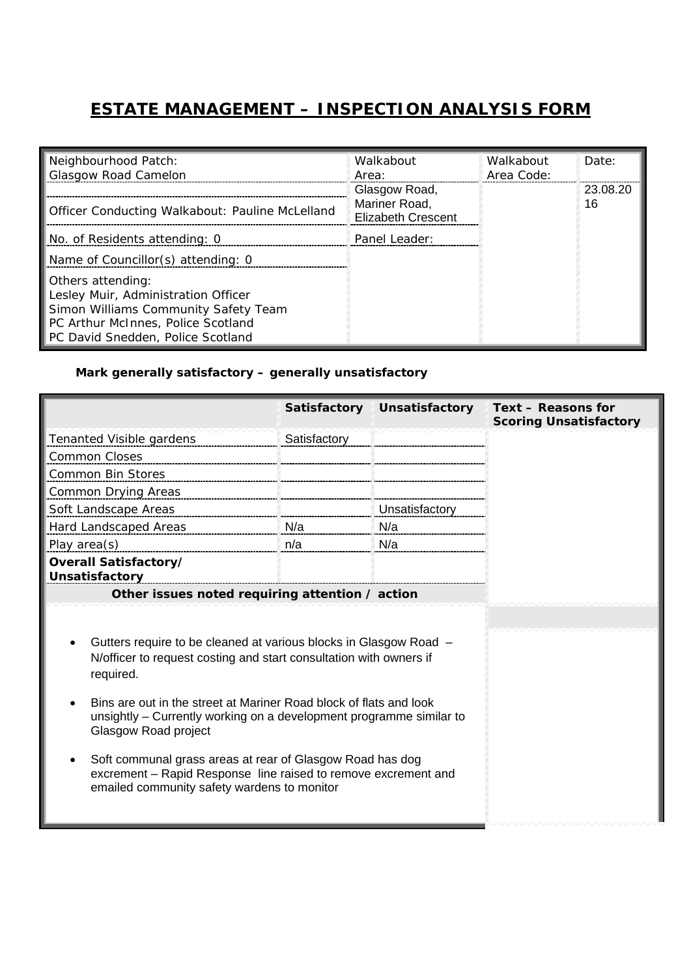## **ESTATE MANAGEMENT – INSPECTION ANALYSIS FORM**

| Neighbourhood Patch:<br><b>Glasgow Road Camelon</b>                                                                                                                         | Walkabout<br>Area:                                          | Walkabout<br>Area Code: | Date:          |
|-----------------------------------------------------------------------------------------------------------------------------------------------------------------------------|-------------------------------------------------------------|-------------------------|----------------|
| <b>Officer Conducting Walkabout: Pauline McLelland</b>                                                                                                                      | Glasgow Road,<br>Mariner Road,<br><b>Elizabeth Crescent</b> |                         | 23.08.20<br>16 |
| No. of Residents attending: 0                                                                                                                                               | Panel Leader:                                               |                         |                |
| Name of Councillor(s) attending: 0                                                                                                                                          |                                                             |                         |                |
| Others attending:<br>Lesley Muir, Administration Officer<br>Simon Williams Community Safety Team<br>PC Arthur McInnes, Police Scotland<br>PC David Snedden, Police Scotland |                                                             |                         |                |

## *Mark generally satisfactory – generally unsatisfactory*

|                                                                                                                                                                                                                                                                                                                                                                                                                                                                                                         | Satisfactory | <b>Unsatisfactory</b> | Text - Reasons for<br><b>Scoring Unsatisfactory</b> |
|---------------------------------------------------------------------------------------------------------------------------------------------------------------------------------------------------------------------------------------------------------------------------------------------------------------------------------------------------------------------------------------------------------------------------------------------------------------------------------------------------------|--------------|-----------------------|-----------------------------------------------------|
| <b>Tenanted Visible gardens</b>                                                                                                                                                                                                                                                                                                                                                                                                                                                                         | Satisfactory |                       |                                                     |
| <b>Common Closes</b>                                                                                                                                                                                                                                                                                                                                                                                                                                                                                    |              |                       |                                                     |
| <b>Common Bin Stores</b>                                                                                                                                                                                                                                                                                                                                                                                                                                                                                |              |                       |                                                     |
| Common Drying Areas                                                                                                                                                                                                                                                                                                                                                                                                                                                                                     |              |                       |                                                     |
| Soft Landscape Areas                                                                                                                                                                                                                                                                                                                                                                                                                                                                                    |              | Unsatisfactory        |                                                     |
| Hard Landscaped Areas                                                                                                                                                                                                                                                                                                                                                                                                                                                                                   | N/a          | N/a                   |                                                     |
| Play area(s)                                                                                                                                                                                                                                                                                                                                                                                                                                                                                            | n/a          | N/a                   |                                                     |
| Overall Satisfactory/<br>Unsatisfactory                                                                                                                                                                                                                                                                                                                                                                                                                                                                 |              |                       |                                                     |
| Other issues noted requiring attention / action                                                                                                                                                                                                                                                                                                                                                                                                                                                         |              |                       |                                                     |
| Gutters require to be cleaned at various blocks in Glasgow Road -<br>N/officer to request costing and start consultation with owners if<br>required.<br>Bins are out in the street at Mariner Road block of flats and look<br>unsightly – Currently working on a development programme similar to<br>Glasgow Road project<br>Soft communal grass areas at rear of Glasgow Road has dog<br>excrement - Rapid Response line raised to remove excrement and<br>emailed community safety wardens to monitor |              |                       |                                                     |